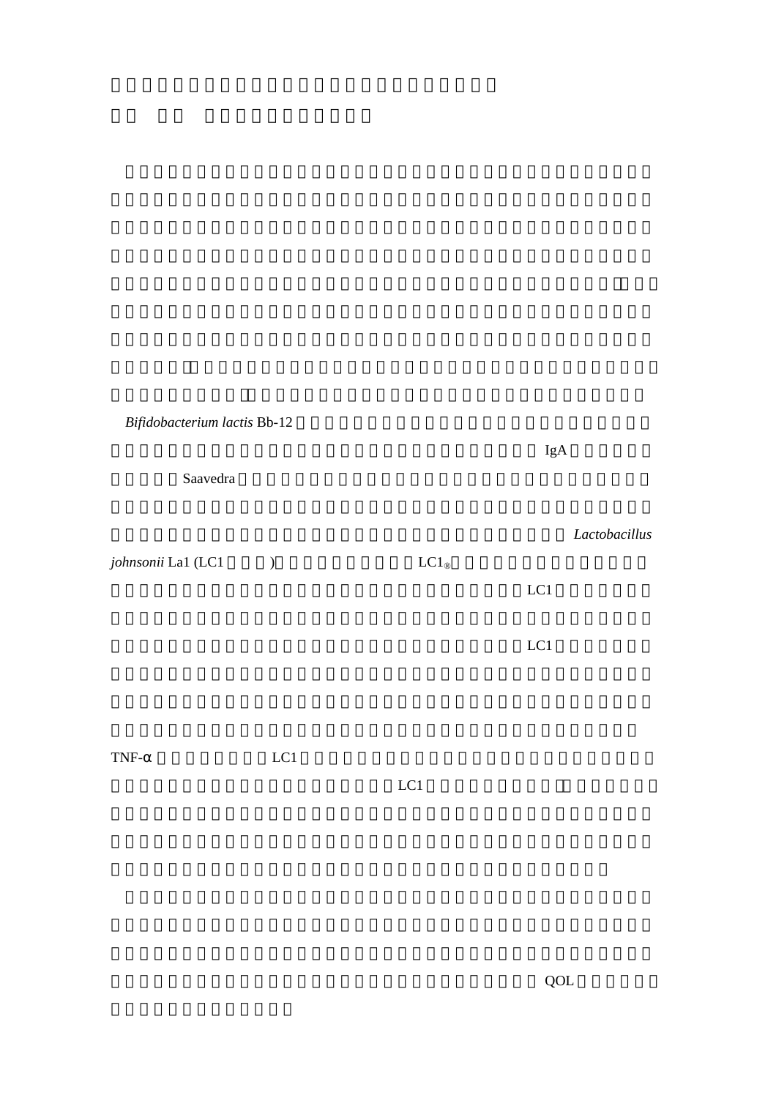*Bifidobacterium lactis* Bb-12

Saavedra sources were not also seen that the set of the set of the set of the set of the set of the set of the set of the set of the set of the set of the set of the set of the set of the set of the set of the set of the s

*johnsonii* La1 (LC1 ) <br>
LC1<sup>®</sup>

 $LC1$ 

TNF-automorphism and LC1 and a large set of the contract and a set of the contract of the contract of the contract of the contract of the contract of the contract of the contract of the contract of the contract of the cont

 $LCl$ 

 $\rm{IgA}$ 

Lactobacillus

 $LC1$ 

を抑制する可能性が明らかにされた。プロバイオティクスがヒトの QOL 向上に果たす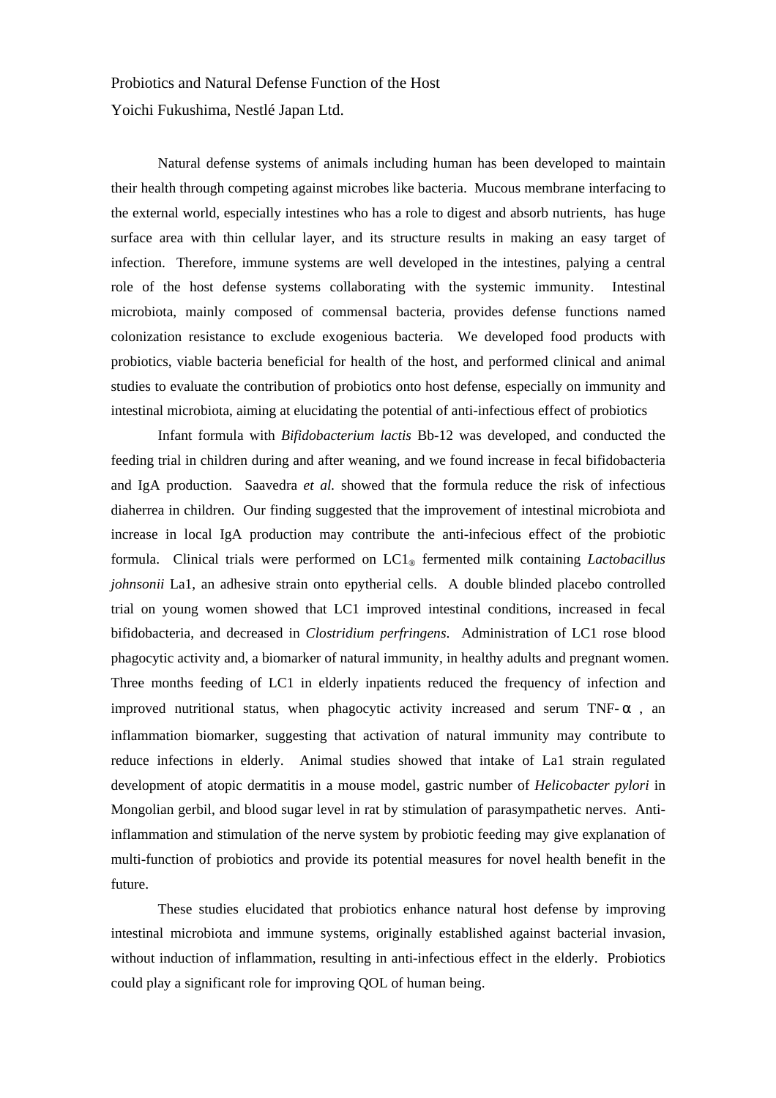Probiotics and Natural Defense Function of the Host Yoichi Fukushima, Nestlé Japan Ltd.

Natural defense systems of animals including human has been developed to maintain their health through competing against microbes like bacteria. Mucous membrane interfacing to the external world, especially intestines who has a role to digest and absorb nutrients, has huge surface area with thin cellular layer, and its structure results in making an easy target of infection. Therefore, immune systems are well developed in the intestines, palying a central role of the host defense systems collaborating with the systemic immunity. Intestinal microbiota, mainly composed of commensal bacteria, provides defense functions named colonization resistance to exclude exogenious bacteria. We developed food products with probiotics, viable bacteria beneficial for health of the host, and performed clinical and animal studies to evaluate the contribution of probiotics onto host defense, especially on immunity and intestinal microbiota, aiming at elucidating the potential of anti-infectious effect of probiotics

Infant formula with *Bifidobacterium lactis* Bb-12 was developed, and conducted the feeding trial in children during and after weaning, and we found increase in fecal bifidobacteria and IgA production. Saavedra *et al.* showed that the formula reduce the risk of infectious diaherrea in children. Our finding suggested that the improvement of intestinal microbiota and increase in local IgA production may contribute the anti-infecious effect of the probiotic formula. Clinical trials were performed on LC1® fermented milk containing *Lactobacillus johnsonii* La1, an adhesive strain onto epytherial cells. A double blinded placebo controlled trial on young women showed that LC1 improved intestinal conditions, increased in fecal bifidobacteria, and decreased in *Clostridium perfringens*. Administration of LC1 rose blood phagocytic activity and, a biomarker of natural immunity, in healthy adults and pregnant women. Three months feeding of LC1 in elderly inpatients reduced the frequency of infection and improved nutritional status, when phagocytic activity increased and serum TNF- , an inflammation biomarker, suggesting that activation of natural immunity may contribute to reduce infections in elderly. Animal studies showed that intake of La1 strain regulated development of atopic dermatitis in a mouse model, gastric number of *Helicobacter pylori* in Mongolian gerbil, and blood sugar level in rat by stimulation of parasympathetic nerves. Antiinflammation and stimulation of the nerve system by probiotic feeding may give explanation of multi-function of probiotics and provide its potential measures for novel health benefit in the future.

These studies elucidated that probiotics enhance natural host defense by improving intestinal microbiota and immune systems, originally established against bacterial invasion, without induction of inflammation, resulting in anti-infectious effect in the elderly. Probiotics could play a significant role for improving QOL of human being.